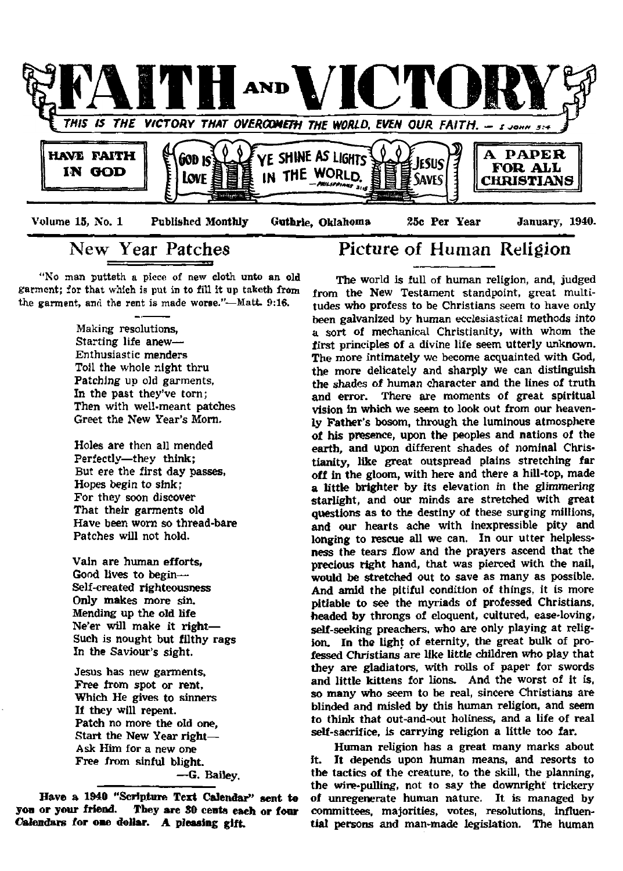

# **New Year Patches**

"No man putteth a piece of new cloth unto an old garment; for that which is put in to fill it up taketh from the garment, and the rent is made worse."-Matt. 9:16.

> Making resolutions, Starting life anew— Enthusiastic menders Toil the whole night thru Patching up old garments, In the past they've torn; Then with well-meant patches Greet the New Year's Morn.

> Holes are then all mended Perfectly—they think; But ere the first day passes, Hopes begin to sink; For they soon discover That their garments old Have been worn so thread-bare Patches will not hold.

> Vain are human efforts. Good lives to begin— Self-created righteousness Only makes more sin. Mending up the old life Ne'er will make it right— Such is nought but filthy rags In the Saviour's sight.

Jesus has new garments, Free from spot or rent, Which He gives to sinners If they will repent. Patch no more the old one. Start the New Year right— Ask Him for a new one Free from sinful blight. —G. Bailey.

**Have a 1940 "Scripture Text Calendar" sent to yon or your friend. They are 30 cents each or four Calendars for one dollar. A pleasing gift.**

### **Picture of Human Religion**

The world is full of human religion, and, judged from the New Testament standpoint, great multitudes who profess to be Christians seem to have only been galvanized by human ecclesiastical methods into a sort of mechanical Christianity, with whom the first principles of a divine life seem utterly unknown. The more intimately we become acquainted with God, the more delicately and sharply we can distinguish the shades of human character and the lines of truth and error. There are moments of great spiritual vision in which we seem to look out from our heavenly Father's bosom, through the luminous atmosphere of his presence, upon the peoples and nations of the earth, and upon different shades of nominal Christianity, like great outspread plains stretching far off in the gloom, with here and there a hill-top, made a little brighter by its elevation in the glimmering starlight, and our minds are stretched with great questions as to the destiny of these surging millions, and our hearts ache with inexpressible pity and longing to rescue all we can. In our utter helplessness the tears flow and the prayers ascend that the precious right hand, that was pierced with the nail, would be stretched out to save as many as possible. And amid the pitiful condition of things, it is more pitiable to see the myriads of professed Christians, headed by throngs of eloquent, cultured, ease-loving, self-seeking preachers, who are only playing at religion. In the light of eternity, the great bulk of professed Christians are like little children who play that they are gladiators, with rolls of paper for swords and little kittens for lions. And the worst of it is, so many who seem to be real, sincere Christians are blinded and misled by this human religion, and seem to think that out-and-out holiness, and a life of real self-sacrifice, is carrying religion a little too far.

Human religion has a great many marks about it. It depends upon human means, and resorts to the tactics of the creature, to the skill, the planning, the wire-pulling, not to say the downright trickery of unregenerate human nature. It is managed by committees, majorities, votes, resolutions, influential persons and man-made legislation. The human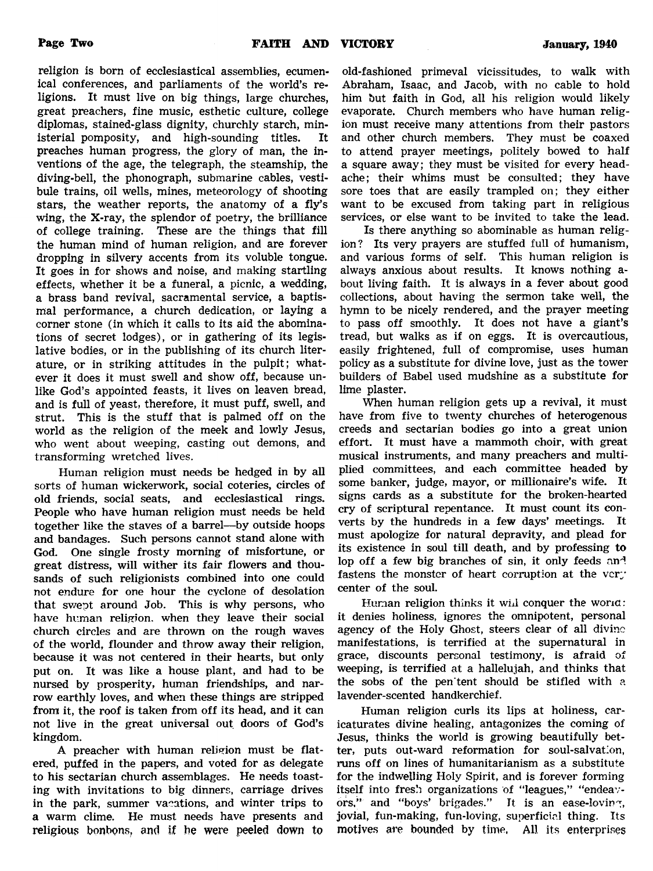**religion is born of ecclesiastical assemblies, ecumenical conferences, and parliaments of the world's religions. It must live on big things, large churches, great preachers, fine music, esthetic culture, college diplomas, stained-glass dignity, churchly starch, ministerial pomposity, and high-sounding titles. It preaches human progress, the glory of man, the inventions of the age, the telegraph, the steamship, the diving-bell, the phonograph, submarine cables, vestibule trains, oil wells, mines, meteorology of shooting stars, the weather reports, the anatomy of a fly's wing, the X-ray, the splendor of poetry, the brilliance of college training. These are the things that fill the human mind of human religion, and are forever dropping in silvery accents from its voluble tongue. It goes in for shows and noise, and making startling effects, whether it be a funeral, a picnic, a wedding, a brass band revival, sacramental service, a baptismal performance, a church dedication, or laying a corner stone (in which it calls to its aid the abominations of secret lodges), or in gathering of its legislative bodies, or in the publishing of its church literature, or in striking attitudes in the pulpit; whatever it does it must swell and show off, because unlike God's appointed feasts, it lives on leaven bread, and is full of yeast, therefore, it must puff, swell, and strut. This is the stuff that is palmed off on the world as the religion of the meek and lowly Jesus, who went about weeping, casting out demons, and**

**Human religion must needs be hedged in by all sorts of human wickerwork, social coteries, circles of old friends, social seats, and ecclesiastical rings. People who have human religion must needs be held together like the staves of a barrel—by outside hoops and bandages. Such persons cannot stand alone with God. One single frosty morning of misfortune, or great distress, will wither its fair flowers and thousands of such religionists combined into one could not endure for one hour the cyclone of desolation that swept around Job. This is why persons, who have human religion, when they leave their social church circles and are thrown on the rough waves of the world, flounder and throw away their religion, because it was not centered in their hearts, but only put on. It was like a house plant, and had to be nursed by prosperity, human friendships, and narrow earthly loves, and when these things are stripped from it, the roof is taken from off its head, and it can not live in the great universal out doors of God's kingdom.**

**transforming wretched lives.**

**A preacher with human religion must be flatered, puffed in the papers, and voted for as delegate to his sectarian church assemblages. He needs toasting with invitations to big dinners, carriage drives in the park, summer vacations, and winter trips to a warm clime. He must needs have presents and religious bonbons, and if he were peeled down to**

**old-fashioned primeval vicissitudes, to walk with Abraham, Isaac, and Jacob, with no cable to hold him but faith in God, all his religion would likely evaporate. Church members who have human religion must receive many attentions from their pastors and other church members. They must be coaxed to attend prayer meetings, politely bowed to half a square away; they must be visited for every headache; their whims must be consulted; they have sore toes that are easily trampled on; they either want to be excused from taking part in religious services, or else want to be invited to take the lead.**

**Is there anything so abominable as human religion? Its very prayers are stuffed full of humanism, and various forms of self. This human religion is always anxious about results. It knows nothing about living faith. It is always in a fever about good collections, about having the sermon take well, the hymn to be nicely rendered, and the prayer meeting to pass off smoothly. It does not have a giant's tread, but walks as if on eggs. It is overcautious, easily frightened, full of compromise, uses human policy as a substitute for divine love, just as the tower builders of Babel used mudshine as a substitute for lime plaster.**

**When human religion gets up a revival, it must have from five to twenty churches of heterogenous creeds and sectarian bodies go into a great union effort. It must have a mammoth choir, with great musical instruments, and many preachers and multiplied committees, and each committee headed by some banker, judge, mayor, or millionaire's wife. It signs cards as a substitute for the broken-hearted cry of scriptural repentance. It must count its converts by the hundreds in a few days' meetings. It must apologize for natural depravity, and plead for its existence in soul till death, and by professing to lop off a few big branches of sin, it only feeds and** fastens the monster of heart corruption at the very **center of the soul.**

Human religion thinks it will conquer the world: **it denies holiness, ignores the omnipotent, personal agency of the Holy Ghost, steers clear of all divine manifestations, is terrified at the supernatural in grace, discounts personal testimony, is afraid of weeping, is terrified at a hallelujah, and thinks that the sobs of the pen'tent should be stifled with a lavender-scented handkerchief.**

**Human religion curls its lips at holiness, caricaturates divine healing, antagonizes the coming of Jesus, thinks the world is growing beautifully better, puts out-ward reformation for soul-salvation, runs off on lines of humanitarianism as a substitute for the indwelling Holy Spirit, and is forever forming itself into fresh organizations of "leagues," "endeavors," and "boys' brigades." It is an ease-loving, jovial, fun-making, fun-loving, superficial thing. Its motives are bounded by time, All its enterprises**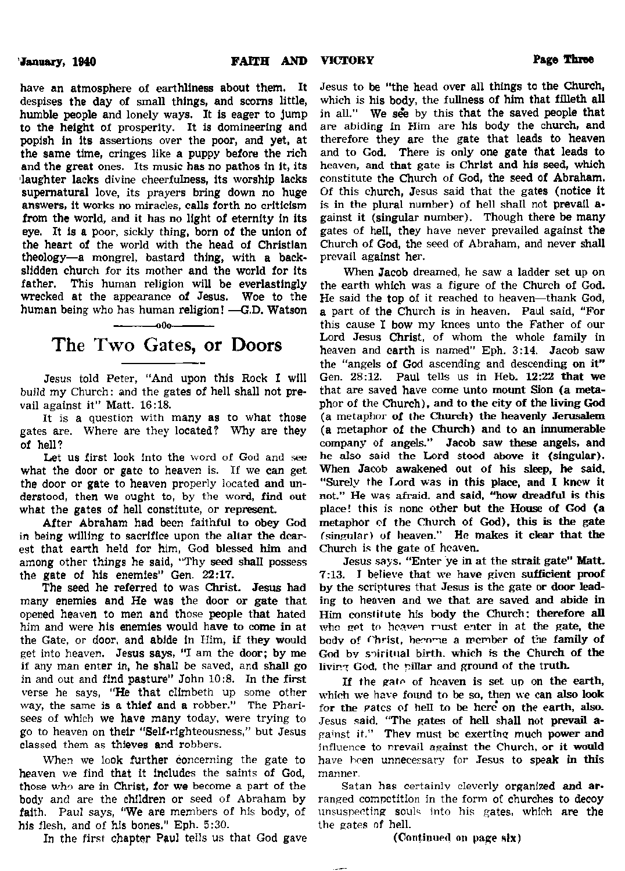**have an atmosphere of earthliness about them. It despises the day of small things, and scorns little, humble people and lonely ways. It is eager to jump to the height of prosperity. It is domineering and popish in its assertions over the poor, and yet, at the same time, cringes like a puppy before the rich and the great ones. Its music has no pathos in it, its laughter lacks divine cheerfulness, its worship lacks supernatural love, its prayers bring down no huge answers, it works no miracles, calls forth no criticism from the world, and it has no light of eternity in its eye. It is a poor, sickly thing, born of the union of the heart of the world with the head of Christian theology—a mongrel, bastard thing, with a backslidden church for its mother and the world for its father. This human religion will be everlastingly wrecked at the appearance of Jesus. Woe to the human being who has human religion! —G.D. Watson**

# The Two Gates, or Doors

**-■** 0**O**0

**Jesus told Peter, "And upon this Rock I will build my Church: and the gates of hell shall not prevail against it" Matt. 16:18.**

**It is a question with many as to what those gates are. Where are they located? Why are they of hell?**

**Let us first look into the word of God and see what the door or gate to heaven is. If we can get the door or gate to heaven properly located and understood, then we ought, to, by the word, find out what the gates of hell constitute, or represent.**

**After Abraham had been faithful to obey God in being willing to sacrifice upon the altar the dearest that earth held for him, God blessed him and among other things he said, "Thy seed shall possess the gate of his enemies" Gen. 22:17.**

**The seed he referred to was Christ. Jesus had many enemies and He was the door or gate that opened heaven to men and those people that hated him and were his enemies would have to come in at the Gate, or door, and abide in Ilim, if they would get into heaven. Jesus says, "I am the door; by me if any man enter in, he shall be saved, and shall go in and out and find pasture" John 10:8. In the first verse he says, "He that climbeth up some other way, the same is a thief and a robber." The Pharisees of which we have many today, were trying to go to heaven on their "Self-righteousness," but Jesus classed them as thieves and robbers.**

**When we look further concerning the gate to heaven we find that it includes the saints of God, those who are in Christ, for we become a part of the body and are the children or seed of Abraham by faith. Paul says, "We are members of his body, of his flesh, and of his bones." Eph. 5:30.**

**In the first chapter Paul tells us that God gave**

**Jesus to be "the head over all things to the Church, which is his body, the fullness of him that filleth all** in all." We see by this that the saved people that **are abiding in Him are his body the church, and therefore they are the gate that leads to heaven and to God. There is only one gate that leads to heaven, and that gate is Christ and his seed, which constitute the Church of God, the seed of Abraham. Of this church, Jesus said that the gates (notice it is in the plural number) of hell shall not prevail against it (singular number). Though there be many gates of hell, they have never prevailed against the Church of God, the seed of Abraham, and never shall prevail against her.**

**When Jacob dreamed, he saw a ladder set up on the earth which was a figure of the Church of God. He said the top of it reached to heaven—thank God, a part of the Church is in heaven. Paul said, "For this cause I bow my knees unto the Father of our Lord Jesus Christ, of whom the whole family in heaven and earth is named" Eph. 3:14. Jacob saw the "angels of God ascending and descending on it" Gen. 28:12. Paul tells us in Heb. 12:22 that we that are saved have come unto mount Sion (a metaphor of the Church), and to the city of the living God (a metaphor of the Church) the heavenly Jerusalem (a metaphor of the Church) and to an innumerable company of angels." Jacob saw these angels, and he also said the Lord stood above it (singular). When Jacob awakened out of his sleep, he said.** "Surely the Lord was in this place, and I know it **not." He was afraid, and said, "how dreadful is this place! this is none other but the House of God (a metaphor of the Church of God), this is the gate (singular) of heaven." He makes it clear that the Church is the gate of heaven.**

**Jesus says. "Enter ye in at the strait gate" Matt. 7:13. I believe that we have given sufficient proof by the scriptures that Jesus is the gate or door leading to heaven and we that are saved and abide in Him constitute his body the Church; therefore all who get to heaven must enter in at the gate, the body of f'hrist, become a member of the family of God by spiritual birth, which is the Church of the living God. the pillar and ground of the truth.**

**If the gate of heaven is set up on the earth, which we have found to be so, then we can also look for the pates of hell to be here on the earth, also. Jesus said. "The gates of hell shall not prevail apa'nst it." Thev must be exerting much power and influence to prevail against the Church, or it would have been unnecessary for Jesus to speak in this manner.**

**Satan has certainly cleverly organized and arranged competition in the form of churches to decoy unsuspecting souls into his gates, which are the the gates nf hell.**

**(Continued on page six)**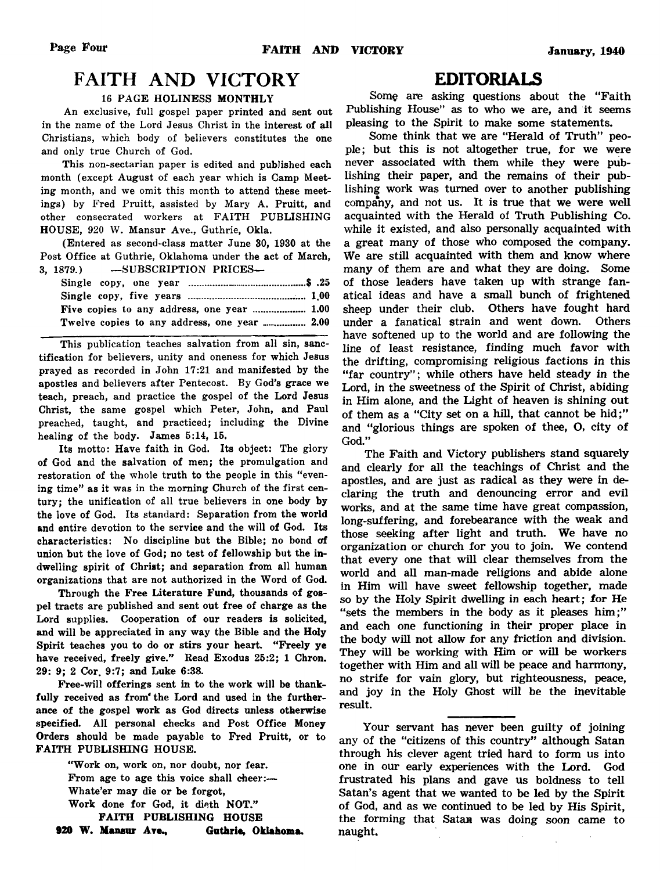# **FAITH AND VICTORY**

#### 16 PAGE HOLINESS MONTHLY

An exclusive, full gospel paper printed and sent out in the name of the Lord Jesus Christ in the interest of all Christians, which body of believers constitutes the one and only true Church of God.

This non-sectarian paper is edited and published each month (except August of each year which is Camp Meeting month, and we omit this month to attend these meetings) by Fred Pruitt, assisted by Mary A. Pruitt, and other consecrated workers at FAITH PUBLISHING HOUSE, 920 W. Mansur Ave., Guthrie, Okla.

(Entered as second-class matter June 30, 1930 at the Post Office at Guthrie, Oklahoma under the act of March, 3, 1879.) —SUBSCRIPTION PRICES—

| Five copies to any address, one year  1.00 |
|--------------------------------------------|
|                                            |

This publication teaches salvation from all sin, sanctification for believers, unity and oneness for which Jesus prayed as recorded in John 17:21 and manifested by the apostles and believers after Pentecost. By God's grace we teach, preach, and practice the gospel of the Lord Jesus Christ, the same gospel which Peter, John, and Paul preached, taught, and practiced; including the Divine healing of the body. James 5:14, 15.

Its motto: Have faith in God. Its object: The glory of God and the salvation of men; the promulgation and restoration of the whole truth to the people in this "evening time" as it was in the morning Church of the first century; the unification of all true believers in one body by the love of God. Its standard: Separation from the world and entire devotion to the service and the will of God. Its characteristics: No discipline but the Bible; no bond of union but the love of God; no test of fellowship but the indwelling spirit of Christ; and separation from all human organizations that are not authorized in the Word of God.

Through the Free Literature Fund, thousands of gospel tracts are published and sent out free of charge as the Lord supplies. Cooperation of our readers is solicited. and will be appreciated in any way the Bible and the Holy Spirit teaches you to do or stirs your heart. "Freely ye have received, freely give." Read Exodus 25:2; 1 Chron. 29: 9; 2 Cor. 9:7; and Luke 6:38.

Free-will offerings sent in to the work will be thankfully received as from' the Lord and used in the furtherance of the gospel work as God directs unless otherwise specified. All personal checks and Post Office Money Orders should be made payable to Fred Pruitt, or to FAITH PUBLISHING HOUSE.

"Work on, work on, nor doubt, nor fear. From age to age this voice shall cheer:— Whate'er may die or be forgot, Work done for God, it dieth NOT." FAITH PUBLISHING HOUSE Guthrie, Oklahoma.

### EDITORIALS

**Some are asking questions about the "Faith Publishing House" as to who we are, and it seems pleasing to the Spirit to make some statements.**

**Some think that we are "Herald of Truth" people; but this is not altogether true, for we were never associated with them while they were publishing their paper, and the remains of their publishing work was turned over to another publishing company, and not us. It is true that we were well acquainted with the Herald of Truth Publishing Co. while it existed, and also personally acquainted with a great many of those who composed the company. We are still acquainted with them and know where many of them are and what they are doing. Some of those leaders have taken up with strange fanatical ideas and have a small bunch of frightened sheep under their club. Others have fought hard under a fanatical strain and went down. Others have softened up to the world and are following the line of least resistance, finding much favor with the drifting, compromising religious factions in this "far country"; while others have held steady in the Lord, in the sweetness of the Spirit of Christ, abiding in Him alone, and the Light of heaven is shining out of them as a "City set on a hill, that cannot be hid;" and "glorious things are spoken of thee, O, city of God."**

**The Faith and Victory publishers stand squarely and clearly for all the teachings of Christ and the apostles, and are just as radical as they were in declaring the truth and denouncing error and evil works, and at the same time have great compassion, long-suffering, and forebearance with the weak and those seeking after light and truth. We have no organization or church for you to join. We contend that every one that will clear themselves from the world and all man-made religions and abide alone in Him will have sweet fellowship together, made so by the Holy Spirit dwelling in each heart; for He "sets the members in the body as it pleases him;" and each one functioning in their proper place in the body will not allow for any friction and division. They will be working with Him or will be workers together with Him and all will be peace and harmony, no strife for vain glory, but righteousness, peace, and joy in the Holy Ghost will be the inevitable result.**

**Your servant has never been guilty of joining any of the "citizens of this country" although Satan through his clever agent tried hard to form us into one in our early experiences with the Lord. God frustrated his plans and gave us boldness to tell Satan's agent that we wanted to be led by the Spirit of God, and as we continued to be led by His Spirit, the forming that Satan was doing soon came to naught.**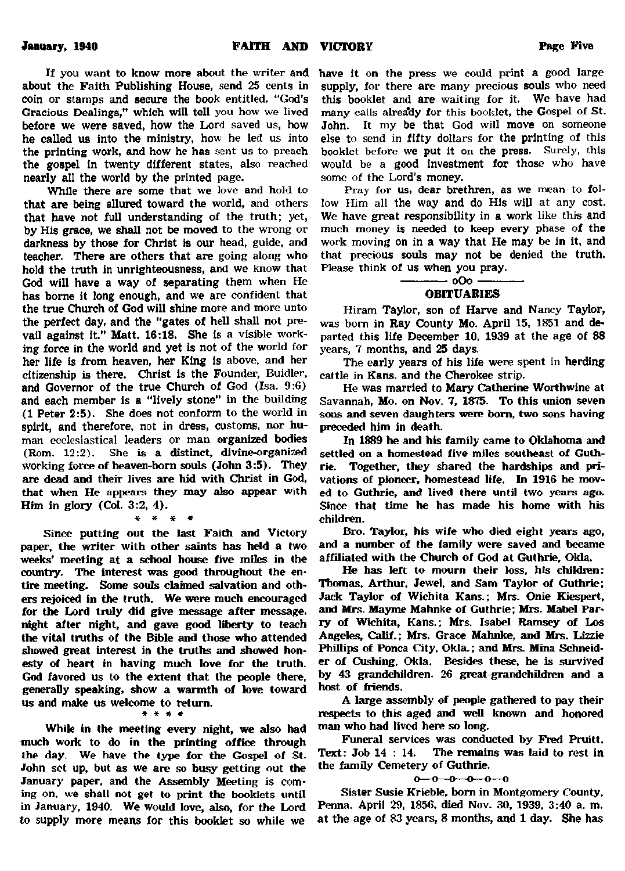**If you want to know more about the writer and about the Faith Publishing House, send 25 cents in coin or stamps and secure the book entitled, "God's Gracious Dealings," which will tell you how we lived before we were saved, how the Lord saved us, how he called us into the ministry, how he led us into the printing work, and how he has sent us to preach the gospel in twenty different states, also reached nearly all the world by the printed page.**

**While there are some that we love and hold to that are being allured toward the world, and others that have not full understanding of the truth; yet, by His grace, we shall not be moved to the wrong or darkness by those for Christ is our head, guide, and teacher. There are others that are going along who hold the truth in unrighteousness, and we know that God will have a way of separating them when He has borne it long enough, and we are confident that the true Church of God will shine more and more unto the perfect day, and the "gates of hell shall not prevail against it." Matt. 16:18. She is a visible working force in the world and yet is not of the world for her life is from heaven, her King is above, and her citizenship is there. Christ is the Founder, Buidler, and Governor of the true Church of God (Isa. 9:6) and each member is a "lively stone" in the building (1 Peter 2:5). She does not conform to the world in spirit, and therefore, not in dress, customs, nor human ecclesiastical leaders or man organized bodies (Rom. 12:2). She is a distinct, divine-organized working force of heaven-born souls (John 3:5). They are dead and their lives are hid with Christ in God, that when He appears they may also appear with Him in glory (Col. 3:2, 4).**

**\* \* \* \***

**Since putting out the last Faith and Victory paper, the writer with other saints has held a two weeks' meeting at a school house five miles in the country- The interest was good throughout the entire meeting. Some souls claimed salvation and others rejoked in the truth. We were much encouraged for the Lord truly did give message after message, night after night, and gave good liberty to teach the vital truths of the Bible and those who attended showed great interest in the truths and showed honesty of heart in having much love for the truth. God favored us to the extent that the people there, generally speaking, show a warmth of love toward us and make us welcome to return.**

\* \* \* \*

**While in the meeting every night, we also had much work to do in the printing office through the day. We have the type for the Gospel of St. John sot up, but as we are so busy getting out the January paper, and the Assembly Meeting is coming on. we shall not get to print the booklets until in January, 1940. We would love, also, for the Lord to supply more means for this booklet so while we**

**have it on the press we could print a good large supply, for there are many precious souls who need this booklet and are waiting for it. We have had many calls alrea'dy for this booklet, the Gospel of St. John. It my be that God will move on someone else to send in fifty dollars for the printing of this booklet before we put it on the press. Surely, this would be a good investment for those who have some of the Lord's money.**

**Pray for us, dear brethren, as we mean to follow Him all the way and do His will at any cost. We have great responsibility in a work like this and much money is needed to keep every phase of the work moving on in a way that He may be in it, and that precious souls may not be denied the truth. Please think of us when you pray.**

> **------------oO o------------- OBITUARIES**

**Hiram Taylor, son of Harve and Nancy Taylor, was bom in Ray County Mo. April 15, 1851 and departed this life December 10, 1939 at the age of 88 years, 7 months, and 25 days.**

**The early years of his life were spent in herding cattle in Kans. and the Cherokee strip.**

**He was married to Mary Catherine Worthwine at Savannah, Mo. on Nov. 7, 1875. To this union seven sons and seven daughters were bom, two sons having preceded him in death.**

**In 1889 he and his family came to Oklahoma and settled on a homestead five miles southeast of Guthrie. Together, they shared the hardships and privations of pioneer, homestead life. In 1916 he moved to Guthrie, and lived there until two years ago. Since that time he has made his home with his children.**

**Bro. Taylor, his wife who died eight years ago, and a number of the family were saved and became affiliated with the Church of God at Guthrie, Okla.**

**He has left to mourn their loss, his children: Thomas, Arthur, Jewel, and Sam Taylor of Guthrie; Jade Taylor of Wichita Kans.; Mrs. Onie Kiespert, and Mrs. Mayme Mahnke of Guthrie; Mrs. Mabel Parry of Wichita, Kans.; Mrs. Isabel Ramsey of Los** Angeles, Calif.: Mrs. Grace Mahnke, and Mrs. Lizzie **Phillips of Ponca City. Okla.; and Mrs. Mina Schneider of Cushing, Okla. Besides these, he is survived by 43 grandchildren. 26 great grandchildren and a host of friends.**

**A large assembly of people gathered to pay their respects to this aged and well known and honored man who had lived here so long.**

**Funeral services was conducted by Fred Pruitt. Text: Job 14 : 14. The remains was laid to rest in the family Cemetery of Guthrie.**

 $0 - 0 - 0 - 0 - 0 - 0$ 

**Sister Susie Krieble, bom in Montgomery County. Penna. April 29, 1856, died Nov. 30, 1939, 3:40 a. m. at the age of 83 years, 8 months, and 1 day. She has**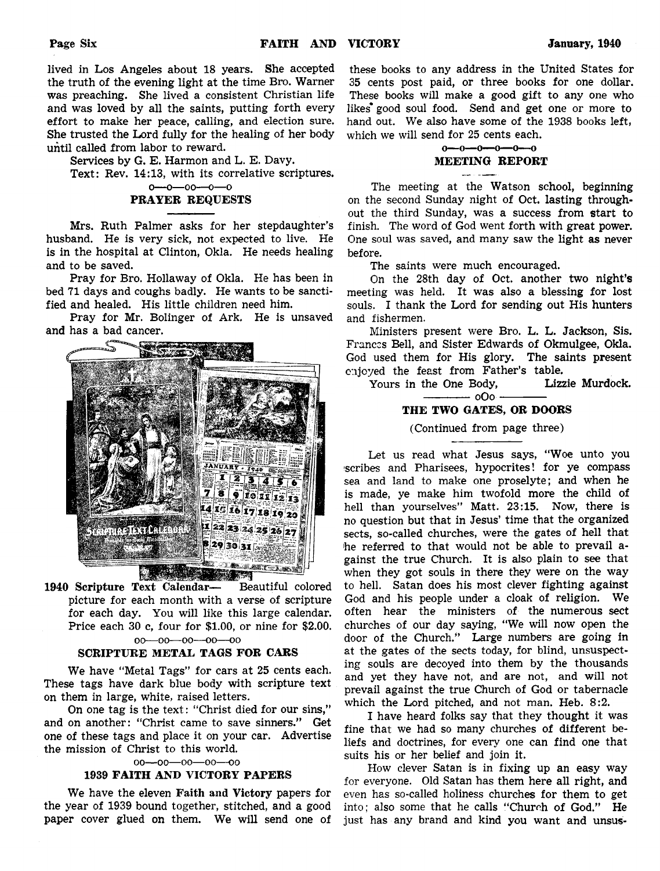lived in Los Angeles about 18 years. She accepted **the truth of the evening light at the time Bro. Warner was preaching. She lived a consistent Christian life and was loved by all the saints, putting forth every effort to make her peace, calling, and election sure. She trusted the Lord fully for the healing of her body until called from labor to reward.**

**Services by G. E. Harmon and L. E. Davy.**

**Text: Rev. 14:13, with its correlative scriptures,**

**o—o—oo—o—o**

#### **PRAYER REQUESTS**

**Mrs. Ruth Palmer asks for her stepdaughter's husband. He is very sick, not expected to live. He is in the hospital at Clinton, Okla. He needs healing and to be saved.**

**Pray for Bro. Hollaway of Okla. He has been in bed 71 days and coughs badly. He wants to be sanctified and healed. His little children need him.**

**Pray for Mr. Bolinger of Ark. He is unsaved and has a bad cancer.**



**1940 Scripture Text Calendar— Beautiful colored picture for each month with a verse of scripture for each day. You will like this large calendar. Price each 30 c, four for \$1.00, or nine for \$2.00.** 00**---**00**---**00**- -oo—oo**

#### **SCRIPTURE METAL TAGS FOR CARS**

**We have "Metal Tags" for cars at 25 cents each. These tags have dark blue body with scripture text on them in large, white, raised letters.**

**On one tag is the text: "Christ died for our sins," and on another: "Christ came to save sinners." Get one of these tags and place it on your car. Advertise the mission of Christ to this world.**

#### oo—oo—oo—oo—oo

#### **1939 FAITH AND VICTORY PAPERS**

**We have the eleven Faith and Victory papers for the year of 1939 bound together, stitched, and a good paper cover glued on them. We will send one of**

**these books to any address in the United States for 35 cents post paid, or three books for one dollar. These books will make a good gift to any one who likes\* good soul food. Send and get one or more to hand out. We also have some of the 1938 books left, which we will send for 25 cents each.**



**The meeting at the Watson school, beginning on the second Sunday night of Oct. lasting throughout the third Sunday, was a success from start to finish. The word of God went forth with great power. One soul was saved, and many saw the light as never before.**

**The saints were much encouraged.**

**On the 28th day of Oct. another two night's meeting was held. It was also a blessing for lost souls. I thank the Lord for sending out His hunters and fishermen.**

**Ministers present were Bro. L. L. Jackson, Sis. Frances Bell, and Sister Edwards of Okmulgee, Okla. God used them for His glory. The saints present enjoyed the feast from Father's table.**

Yours in the One Body, **------—— oOo------------**

#### **THE TWO GATES, OR DOORS**

**(Continued from page three)**

**Let us read what Jesus says, "Woe unto you scribes and Pharisees, hypocrites! for ye compass sea and land to make one proselyte; and when he is made, ye make him twofold more the child of hell than yourselves" Matt. 23:15. Now, there is no question but that in Jesus' time that the organized sects, so-called churches, were the gates of hell that he referred to that would not be able to prevail against the true Church. It is also plain to see that when they got souls in there they were on the way to hell. Satan does his most clever fighting against God and his people under a cloak of religion. We often hear the ministers of the numerous sect churches of our day saying, "We will now open the door of the Church." Large numbers are going in at the gates of the sects today, for blind, unsuspecting souls are decoyed into them by the thousands and yet they have not, and are not, and will not prevail against the true Church of God or tabernacle which the Lord pitched, and not man. Heb. 8:2.**

**I have heard folks say that they thought it was fine that we had so many churches of different beliefs and doctrines, for every one can find one that suits his or her belief and join it.**

**How clever Satan is in fixing up an easy way for everyone. Old Satan has them here all right, and even has so-called holiness churches for them to get into; also some that he calls "Church of God." He just has any brand and kind you want and unsus-**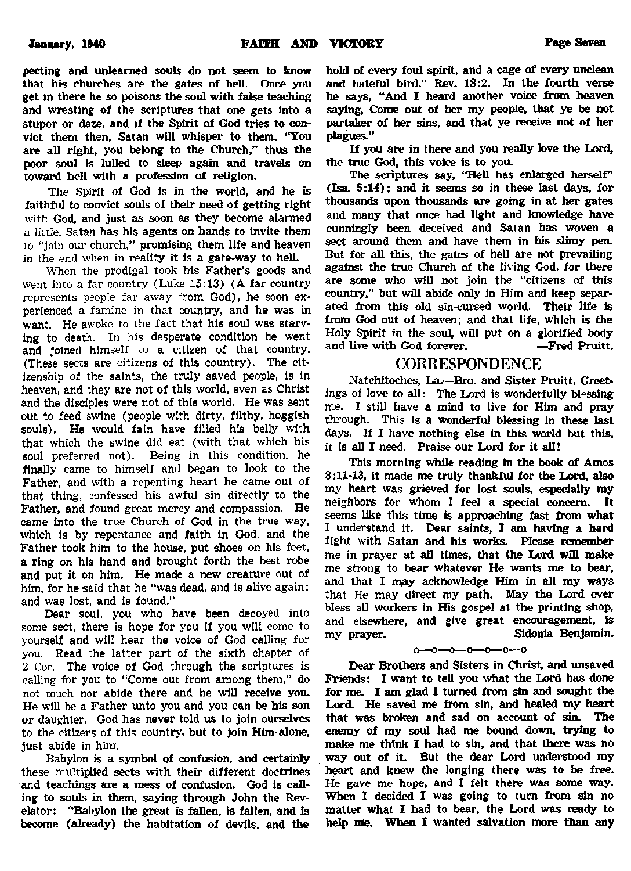**pecting and unlearned souls do not seem to know that his churches are the gates of hell Once you get in there he so poisons the soul with false teaching and wresting of the scriptures that one gets into a stupor or daze, and if the Spirit of God tries to convict them then, Satan will whisper to them, "You are all right, you belong to the Church," thus the poor soul is lulled to sleep again and travels on toward hell with a profession of religion.**

**The Spirit of God is in the world, and he is faithful to convict souls of their need of getting right with God, and just as soon as they become alarmed a little, Satan has his agents on hands to invite them to "join our church," promising them life and heaven in the end when in reality it is a gate-way to hell.**

**When the prodigal took his Father's goods and went into a far country (Luke 15:13) (A far country represents people far away from God), he soon experienced a famine in that country, and he was in want. He awoke to the fact that his soul was starving to death. In his desperate condition he went and joined himself to a citizen of that country. (These sects are citizens of this country). The citizenship of the saints, the truly saved people, is in heaven, and they are not of this world, even as Christ and the disciples were not of this world. He was sent out to feed swine (people with dirty, filthy, hoggish souls). He would fain have filled his belly with that which the swine did eat (with that which his soul preferred not). Being in this condition, he finally came to himself and began to look to the Father, and with a repenting heart he came out of that thing, confessed his awful sin directly to the Father, and found great mercy and compassion. He came into the true Church of God in the true way, which is by repentance and faith in God, and the Father took him to the house, put shoes on his feet, a ring on his hand and brought forth the best robe and put it on him. He made a new creature out of him, for he said that he "was dead, and is alive again; and was lost, and is found."**

**Dear soul, you who have been decoyed into some sect, there is hope for you if you will come to yourself and will hear the voice of God calling for you. Read the latter part of the sixth chapter of 2 Cor. The voice of God through the scriptures is calling for you to "Come out from among them," do not touch nor abide there and he will receive you. He will be a Father unto you and you can be his son or daughter. God has never told us to join ourselves to the citizens of this country, but to Join Him alone, just abide in him.**

**Babylon is a symbol of confusion, and certainly these multiplied sects with their different doctrines** and teachings are a mess of confusion. God is call**ing to souls in them, saying through John the Revelator: "Babylon the great is fallen, is fallen, and Is become (already) the habitation of devils, and the**

**hold of every foul spirit, and a cage of every unclean and hateful bird." Rev. 18:2. In the fourth verse he says, "And I heard another voice from heaven saying, Come out of her my people, that ye be not partaker of her sins, and that ye receive not of her plagues."**

**If you are in there and you really love the Lord, the true God, this voice is to you.**

**The scriptures say, "Hell has enlarged herself" (Isa. 5:14); and it seems so in these last days, for thousands upon thousands are going in at her gates and many that once had light and knowledge have cunningly been deceived and Satan has woven a sect around them and have them in his slimy pen. But for all this, the gates of hell are not prevailing against the true Church of the living God, for there are some who will not join the "citizens of this country," but will abide only in Him and keep separated from this old sin-cursed world. Their life is from God out of heaven; and that life, which is the Holy Spirit in the soul, will put on a glorified body and live with God forever. —Fred Pruitt.**

#### CORRESPONDENCE

**Natchitoches, La.—Bro. and Sister Pruitt, Greetings of love to all: The Lord is wonderfully blessing me. I still have a mind to live for Him and pray through. This is a wonderful blessing in these last days. If I have nothing else in this world but this, it is all I need. Praise our Lord for it all!**

**This morning while reading in the book of Amos 8:11-13, it made me truly thankful for the Lord, also my heart was grieved for lost souls, especially my neighbors for whom I feel a special concern. It seems like this time is approaching fast from what I understand it. Dear saints, I am having a hard fight with Satan and his works. Please remember me in prayer at all times, that the Lord will make me strong to bear whatever He wants me to bear,** and that I may acknowledge Him in all my ways **that He may direct my path. May the Lord ever bless all workers in His gospel at the printing shop, and elsewhere, and give great encouragement, is my prayer. Sidonia Benjamin.**

#### $0 - 0 - 0 - 0 - 0 - 0 - 0$

**Dear Brothers and Sisters in Christ, and unsaved Friends: I want to tell you what the Lord has done for me. I am glad I turned from sin and sought the Lord. He saved me from sin, and healed my heart that was broken and sad on account of sin. The enemy of my soul had me bound down, trying to mate me think I had to sin, and that there was no way out of it. But the dear Lord understood my heart and knew the longing there was to be free. He gave me hope, and I felt there was some way. When I decided I was going to turn from sin no matter what I had to bear, the Lord was ready to help me. When I wanted salvation more than any**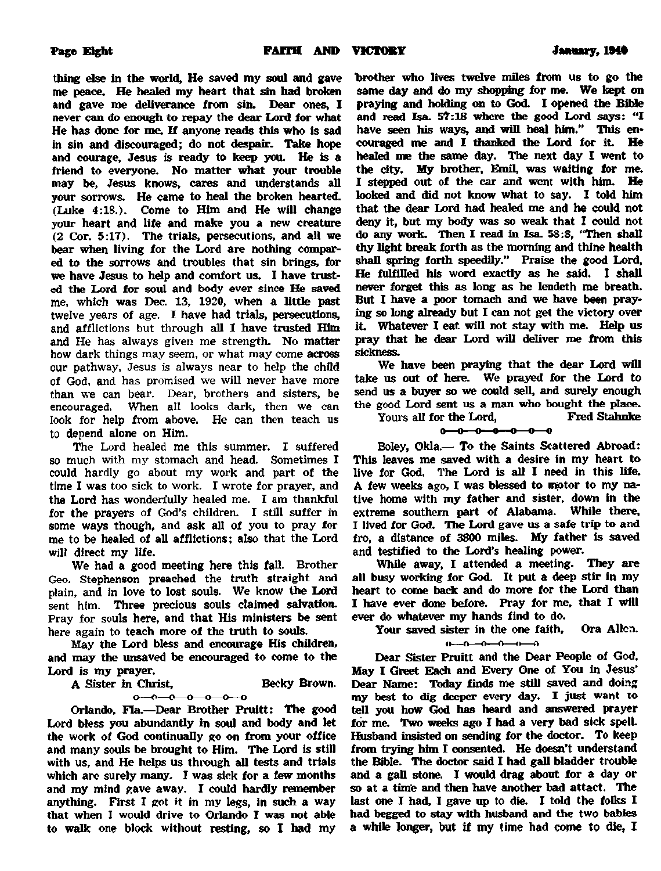thing else in the world, He saved my soul and gave me peace. He healed my heart that sin had broken and gave me deliverance from sin. Dear ones, I never can do enough to repay the dear Lord for what He has done for me. If anyone reads this who is sad in sin and discouraged; do not despair. Take hope and courage, Jesus is ready to keep you. He is a friend to everyone. No matter what your trouble may be, Jesus knows, cares and understands all your sorrows. He came to heal the broken hearted. (Luke 4:18.). Come to Him and He will change your heart and life and make you a new creature (2 Cor. 5:17). The trials, persecutions, and all we bear when living for the Lord are nothing compared to the sorrows and troubles (hat sin brings, for we have Jesus to help and comfort us. I have trusted the Lord for soul and body ever since He saved me, which was Dec. 13, 1920, when a little past twelve years of age. I have had trials, persecutions, and afflictions but through all I have trusted Him and He has always given me strength. No matter how dark things may seem, or what may come across our pathway, Jesus is always near to help the child of God, and has promised we will never have more than we can bear. Dear, brothers and sisters, be encouraged. When all looks dark, then we can look for help from above. He can then teach us to depend alone on Him.

The Lord healed me this summer. I suffered so much with my stomach and head. Sometimes I could hardly go about my work and part of the time I was too sick to work. I wrote for prayer, and the Lord has wonderfully healed me. I am thankful for the prayers of God's children. I still suffer in some ways though, and ask all of you to pray for me to be healed of all afflictions; also that the Lord will direct my life.

We had a good meeting here this fall. Brother Geo. Stephenson preached the truth straight and plain, and in love to lost souls. We know the Lord sent him. Three precious souls claimed salvation. Pray for souls here, and that His ministers be sent here again to teach more of the truth to souls.

May the Lord bless and encourage His children, and may the unsaved be encouraged to come to the Lord is my prayer.

A Sister in Christ, Becky Brown.  $0 - 0 - 0 - 0 - 0 - 0$ 

Orlando, Fla.—Dear Brother Pruitt: The good Lord bless you abundantly in soul and body and let the work of God continually go on from your office and many souls be brought to Him. The Lord is still with us, and He helps us through all tests and trials which arc surely many. I was sick for a few months and my mind gave away. I could hardly remember anything. First I got it in my legs, in such a way that when I would drive to Orlando I was not able to walk one block without resting, so I had my brother who lives twelve miles from us to go the same day and do my shopping for me. We kept on praying and holding on to God. I opened the Bible and read Isa. 57:18 where the good Lord says: "I have seen his ways, and will heal him." This encouraged me and I thanked the Lord for it. He healed me the same day. The next day I went to the city. My brother, Emil, was waiting for me. I stepped out of the car and went with him. He looked and did not know what to say. I told him that the dear Lord had healed me and he could not deny it, but my body was so weak that I could not do any work. Then I read in Isa. 58:8, "Then shall thy light break forth as the morning and thine health shall spring forth speedily." Praise the good Lord, He fulfilled his word exactly as he said. I shall never forget this as long as he lendeth me breath. But I have a poor tomach and we have been praying so long already but I can not get the victory over it. Whatever I eat will not stay with me. Help us pray that be dear Lord will deliver roe from this sickness.

We have been praying that the dear Lord will take us out of here. We prayed for the Lord to send us a buyer so we could sell, and surely enough the good Lord sent us a man who bought the place.<br>Yours all for the Lord. Fred Stahnke

Yours all for the Lord,  $0 - 0 - 0 - 0 - 0 - 0$ 

Boley, Okla.— To the Saints Scattered Abroad: This leaves me saved with a desire in my heart to live for God. The Lord is all I need in this life. A few weeks ago, I was blessed to motor to my native home with my father and sister, down in the extreme southern part of Alabama. While there, I lived for God. The Lord gave us a safe trip to and fro, a distance of 3800 miles. My father is saved and testified to the Lord's healing power.

While away, I attended a meeting. They are all busy working for God. It put a deep stir in my heart to come back and do more for the Lord than I have ever done before. Pray for me, that I will ever do whatever my hands find to do.

Your saved sister in the one faith, Ora Allen.

 $0 - 0 - 0 - 0 - 0$ 

Dear Sister Pruitt and the Dear People of God. May I Greet Each and Every One of You in Jesus' Dear Name: Today finds me still saved and doing my best to dig deeper every day. I just want to tell you how God has heard and answered prayer for me. Two weeks ago I had a very bad sick spell. Husband insisted on sending for the doctor. To keep from trying him I consented. He doesn't understand the Bible. The doctor said I had gall bladder trouble and a gall stone. I would drag about for a day or so at a time and then have another bad attact. The last one I had, I gave up to die. I told the folks I had begged to stay with husband and the two babies a while longer, but if my time had come to die, I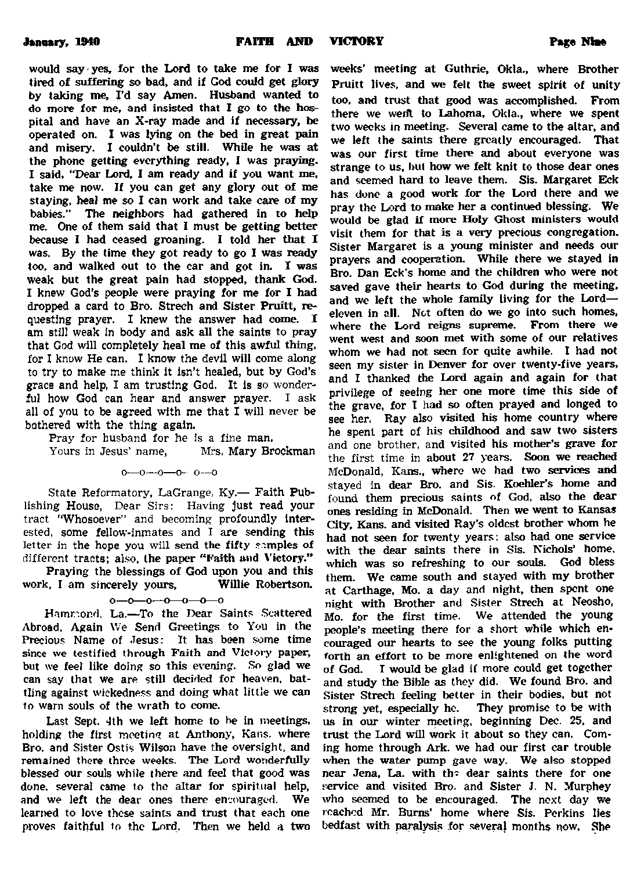would say yes, for the Lord to take me for I was **tired of suffering so bad, and if God could get glory by taking me, I'd say Amen. Husband wanted to do more for me, and insisted that I go to the hospital and have an X-ray made and if necessary, be operated on. I was lying on the bed in great pain and misery. I couldn't be still. While he was at the phone getting everything ready, 1 was praying. I said, "Dear Lord, I am ready and if you want me, take me now. If you can get any glory out of me staying, heal me so I can work and take care of my babies." The neighbors had gathered in to help me. One of them said that I must be getting better because I had ceased groaning. I told her that I was. By the time they got ready to go I was ready too. and walked out to the car and got in. I was weak but the great pain had stopped, thank God. I knew God's people were praying for me for I had dropped a card to Bro. Strech and Sister Pruitt, requesting prayer. I knew the answer had come. I am still weak in body and ask all the saints to pray that God will completely heal me of this awful thing, for I know He can. I know the devil will come along to try to make me think it isn't healed, but by God's grace and help, I am trusting God. It is so wonderful how God can hear and answer prayer. I ask all of you to be agreed with me that I will never be bothered with the thing again.**

**Pray for husband for he is a fine man.**

Yours in Jesus' name.

**o—o—o—o- o—o**

**State Reformatory, LaGrange, Ky.— Faith Publishing House, Dear Sirs: Having just read your tract "Whosoever" and becoming profoundly Interested, some fellow-inmates and I are sending this letter in the hope you will send the fifty samples of different tracts; also, the paper "Faith and Victory."**

**Praying the blessings of God upon you and this work, I am sincerely yours, Willie Robertson.**

 $0 - 0 - 0 - 0 - 0 - 0$ 

**Hammond. La.—To the Dear Saints Scattered Abroad. Again We Send Greetings to You in the Precious Name of Jesus: It has been some time since we testified through Faith and Victory paper, but we feel like doing so this evening. So glad we** can say that we are still decided for heaven, bat**tling against wickedness and doing what little we can to warn souls of the wrath to come.**

Last Sept. 4th we left home to be in meetings, **holding the first meeting at Anthony, Kans. where Bro. and Sister Ostis Wilson have the oversight, and remained there three weeks. The Lord wonderfully blessed our souls while there and feel that good was done, several came to the altar for spiritual help, and we left the dear ones there encouraged. We learned to love these saints and trust that each one proves faithful to the Lord. Then we held a two**

**weeks' meeting at Guthrie, Okla., where Brother Pruitt lives, and we felt the sweet spirit of unity too. and trust that good was accomplished. From there we werit to Lahoma, Okla., where we spent two weeks in meeting. Several came to the altar, and we left the saints there greatly encouraged. That was our first time there and about everyone was strange to us, but how we felt knit to those dear ones and seemed hard to leave them. Sis. Margaret Eck has done a good work for the Lord there and we pray the Lord to make her a continued blessing. We would be glad if more Holy Ghost ministers would visit them for that is a very precious congregation. Sister Margaret is a young minister and needs our prayers and cooperation. While there we stayed in Bro. Dan Eck's home and the children who were not saved gave their hearts to God during the meeting,** and we left the whole family living for the Lord**eleven in all. Not often do we go into such homes, where the Lord reigns supreme. From there we went west and soon met with some of our relatives whom we had not seen for quite awhile. I had not seen my sister in Denver for over twenty-five years, and I thanked the Lord again and again for that privilege of seeing her one more time this side of the grave, for I had so often prayed and longed to see her. Ray also visited his home country where he spent part of his childhood and saw two sisters and one brother, and visited his mother's grave for the first time in about 27 years. Soon we reached McDonald, Kans., where we had two services and stayed in dear Bro. and Sis. Koehler's home and found them precious saints of God, also the dear ones residing in McDonald. Then we went to Kansas City, Kans. and visited Ray's oldest brother whom he had not seen for twenty years: also had one service with the dear saints there in Sis. Nichols' home, which was so refreshing to our souls. God bless them. We came south and stayed with my brother at Carthage, Mo. a day and night, then spent one night with Brother and Sister Strech at Neosho, Mo. for the first time. We attended the young people's meeting there for a short while which encouraged our hearts to see the young folks putting forth an effort to be more enlightened on the word of God. I would be glad if more could get together and study the Bible as they did. We found Bro. and Sister Strech feeling better in their bodies, but not strong yet, especially he. They promise to be with us in our winter meeting, beginning Dec. 25. and trust the Lord will work it about so they can. Coming home through Ark. we had our first car trouble when the water pump gave way. We also stopped near Jena, La. with th? dear saints there for one service and visited Bro. and Sister J. N. Murphey who seemed to be encouraged. The next day we reached Mr. Bums' home where Sis. Perkins lies bedfast with paralysis for several months now. She**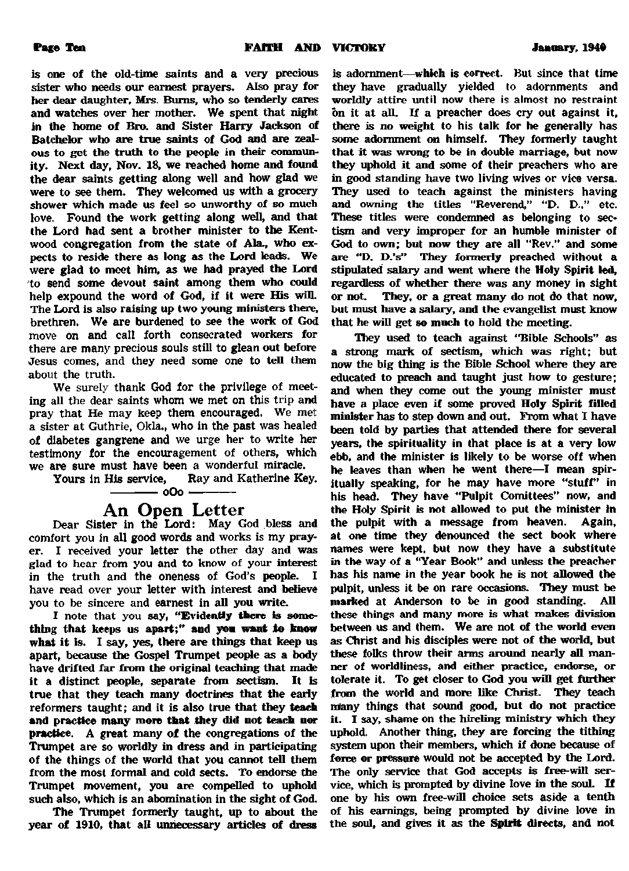**is one of the old-time saints and a very precious sister who needs our earnest prayers. Also pray for her dear daughter, Mrs. Bums, who so tenderly cares and watches over her mother. We spent that night** in the home of Bro. and Sister Harry Jackson of **Batchelor who are true saints of God and are zealous to get the truth to the people in their community. Next day, Nov. 18, we reached home and found the dear saints getting along well and how glad we were to see them. They welcomed us with a grocery shower which made us feel so unworthy of so much love. Found the work getting along well, and that the Lord had sent a brother minister to the Kentwood congregation from the state of Ala., who expects to reside there as long as the Lord leads. We were glad to meet him, as we had prayed the Lord to send scene devout saint among them who could help expound the word of God, if it were His will. The Lord is also raising up two young ministers there, brethren. We are burdened to see the work of God move on and call forth consecrated workers for there are many precious souls still to glean out before** Jesus comes, and they need some one to tell them **about the truth.**

**We surely thank God for the privilege of meeting all the dear saints whom we met on this trip and pray that He may keep them encouraged. We met a sister at Guthrie, Okla., who in the past was healed of diabetes gangrene and we urge her to write her testimony for the encouragement of others, which we are sure must have been a wonderful miracle.**

**Ray and Katherine Key.** 

### **------------**0**O**0 **------------- An Open Letter**

**Dear Sister in the Lord: May God bless and comfort you in all good words and works is my prayer. I received your letter the other day and was glad to hear from you and to know of your interest in the truth and the oneness of God's people. I have read over your letter with interest and believe you to be sincere and earnest in all you write.**

**I note that you say, "Evidently there is something that keeps us apart;" and yon want to know what it is. I say, yes, there are things that keep us apart, because the Gospel Trumpet people as a body have drifted far from the original teaching that made** it a distinct people, separate from sectism. It is **true that they teach many doctrines that the early reformers taught; and it is also true that they teach and practice many more that they did not teach nor practice. A great many of the congregations of the Trumpet are so worldly in dress and in participating of the things of the world that you cannot tell them from the most formal and cold sects. To endorse the Trumpet movement, you are compelled to uphold such also, which is an abomination in the sight of God.**

**The Trumpet formerly taught, up to about the year of 1910, that all unnecessary articles of dress**

**is adornment—which is correct. But since that time they have gradually yielded to adornments and worldly attire until now there is almost no restraint on it at all. If a preacher does cry out against it, there is no weight to his talk for he generally has some adornment on himself. They formerly taught that it was wrong to be in double marriage, but now they uphold it and some of their preachers who are in good standing have two living wives or vice versa. They used to teach against the ministers having and owning the titles "Reverend," "D. D-." etc. These titles were condemned as belonging to sectism and very improper for an humble minister of God to own; but now they are all "Rev." and some are "D. D.'s" They formerly preached without a stipulated salary and went where the Holy Spirit led, regardless of whether there was any money in sight or not. They, or a great many do not do that now, but must have a salary, and the evangelist must know that he will get so much to hold the meeting.**

**They used to teach against "Bible Schools" as a strong mark of sectism, which was right; but now the big thing is the Bible School where they are educated to preach and taught just how to gesture; and when they come out the young minister must have a place even if some proved Holy Spirit filled minister has to step down and out. From what I have been told by parties that attended there for several years, the spirituality in that place is at a very low ebb, and (he minister is likely to be worse off when he leaves than when he went there—I mean spir**itually speaking, for he may have more "stuff" in **his head. They have "Pulpit Comittees" now, and the Holy Spirit is not allowed to put the minister In the pulpit with a message from heaven. Again, at one time they denounced (he sect book where names were kept, but now they have a substitute in the way of a "Year Book" and unless the preacher has his name in the year book he is not allowed the pulpit, unless it be on rare occasions. They must be marked at Anderson to be in good standing. All these things and many more is what makes division between us and them. We are not of the world even as Christ and his disciples were not of the world, but these folks throw their arms around nearly all manner of worldliness, and either practice, endorse, or tolerate it. To get closer to God you win get further from the world and more like Christ. They teach many things (hat sound good, but do not practice it. I say, shame on the hireling ministry which they uphold. Another thing, they are forcing the tithing system upon their members, which if done because of force or pressure would not be accepted by the Lord. The only service that God accepts is free-will service, which is prompted by divine love in the soul. If one by his own free-will choice sets aside a tenth of his earnings, being prompted by divine love in the soul, and gives it as the Spirit directs, and not**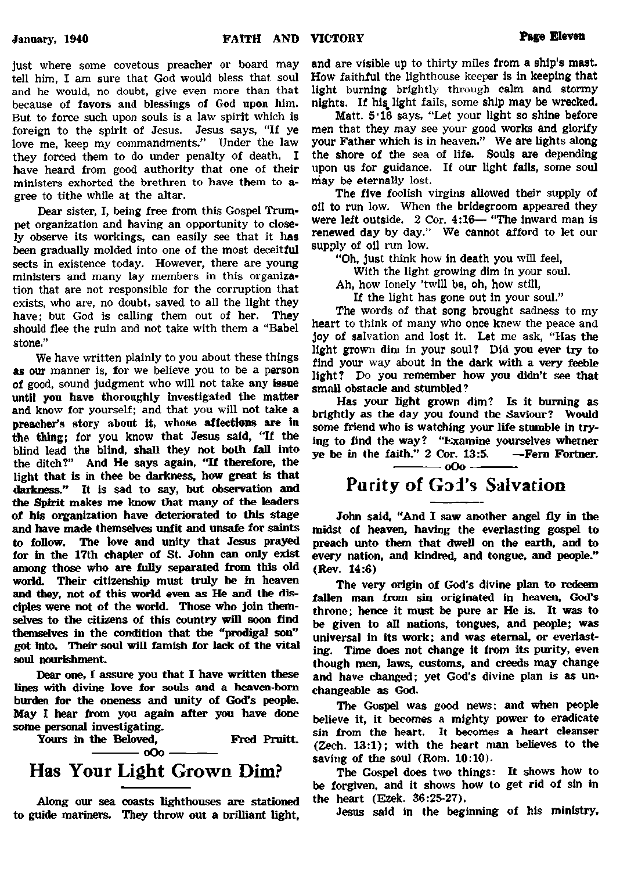**just where some covetous preacher or board may tell him, I am sure that God would bless that soul and he would, no doubt, give even more than that because of favors and blessings of God upon him. But to force such upon souls is a law spirit which is foreign to the spirit of Jesus. Jesus says, "If ye love me, keep my commandments." Under the law they forced them to do under penalty of death. I have heard from good authority that one of their ministers exhorted the brethren to have them to a\* gree to tithe while at the altar.**

**Dear sister, I, being free from this Gospel Trumpet organization and having an opportunity to closely observe its workings, can easily see that it has been gradually molded into one of the most deceitful sects in existence today. However, there are young ministers and many lay members in this organization that are not responsible for the corruption that exists, who are, no doubt, saved to all the light they** have; but God is calling them out of her. **should flee the ruin and not take with them a "Babel stone."**

**We have written plainly to you about these things as our manner is, for we believe you to be a person of good, sound judgment who will not take any issue until you have thoroughly Investigated the matter and know for yourself; and that you will not take a preacher's story about it, whose affections are in the thing; for you know that Jesus said, "If the blind lead the blind, shall they not both fall into the ditch?" And He says again, "If therefore, the light that is in thee be darkness, how great is that darkness." It is sad to say, but observation and the Spirit makes me know that many of the leaders of his organization have deteriorated to this stage and have made themselves unfit and unsafe for saints to follow. The love and unity that Jesus prayed for in the 17th chapter of St. John can only exist among those who are fully separated from this old world. Their citizenship must truly be in heaven and they, not of this world even as He and the disciples were not of the world. Those who join them**selves to the citizens of this country will soon find **themselves in the condition that the "prodigal son"** got into. Their soul will famish for lack of the vital **soul nourishment.**

**Dear one, I assure you that I have written these lines with divine love for souls and a heaven-bom burden for the oneness and unity of God's people. May I hear from you again after you have done some personal investigating.**

**Yours in the Beloved, Fred Pruitt. -----------** 0**O**0 **------------- Has Your Light Grown Dim?**

**Along our sea coasts lighthouses are stationed to guide mariners. They throw out a brilliant light,**

**and are visible up to thirty miles from a ship's mast. How faithful the lighthouse keeper is in keeping that light burning brightly through calm and stormy** nights. If his light fails, some ship may be wrecked.

**Matt. 5'16 says, "Let your light so shine before men that they may see your good works and glorify your Father which is in heaven." We are lights along the shore of the sea of life. Souls are depending upon us for guidance. If our light fails, some soul may be eternally lost.**

**The five foolish virgins allowed their supply of oil to run low. When the bridegroom appeared they were left outside. 2 Cor. 4:16— "The inward man is renewed day by day." We cannot afford to let our supply of oil run low.**

**"Oh, just think how In death you will feel,**

**With the light growing dim In your soul.**

**Ah, how lonely 'twill be, oh, how still,**

**If the light has gone out in your soul."**

**The words of that song brought sadness to my heart to think of many who once knew the peace and joy of salvation and lost it. Let me ask, "Has the light grown dim in your soul? Did you ever try to find your way about in the dark with a very feeble light? Do you remember how you didn't see that small obstacle and stumbled?**

**Has your light grown dim? Is it burning as brightly as the day you found the Saviour? Would some friend who is watching your life stumble in trying to find the way? "Examine yourselves wheiner ye be in the faith." 2 Cor. 13:5. —Fern Fortner.**

**------------oO o-------------**

# **Purity of Gai's Salvation**

**John said, "And I saw another angel fly in the midst of heaven, having the everlasting gospel to preach unto them that dwell on the earth, and to every nation, and kindred, and tongue, and people." (Rev. 14:6)**

**The very origin of God's divine plan to redeem fallen man from sin originated in heaven, God's throne; hence it must be pure ar He is. It was to be given to all nations, tongues, and people; was universal in its work; and was eternal, or everlasting. Time does not change it from its purity, even though men, laws, customs, and creeds may change and have changed; yet God's divine plan is as unchangeable as God.**

**The Gospel was good news: and when people believe it, it becomes a mighty power to eradicate sin from the heart. It becomes a heart cleanser (Zech. 13:1); with the heart man believes to the saving of the soul (Rom. 10:10).**

**The Gospel does two things: It shows how to** be forgiven, and it shows how to get rid of sin in **the heart (Ezek. 36:25-27).**

**Jesus said in the beginning of his ministry,**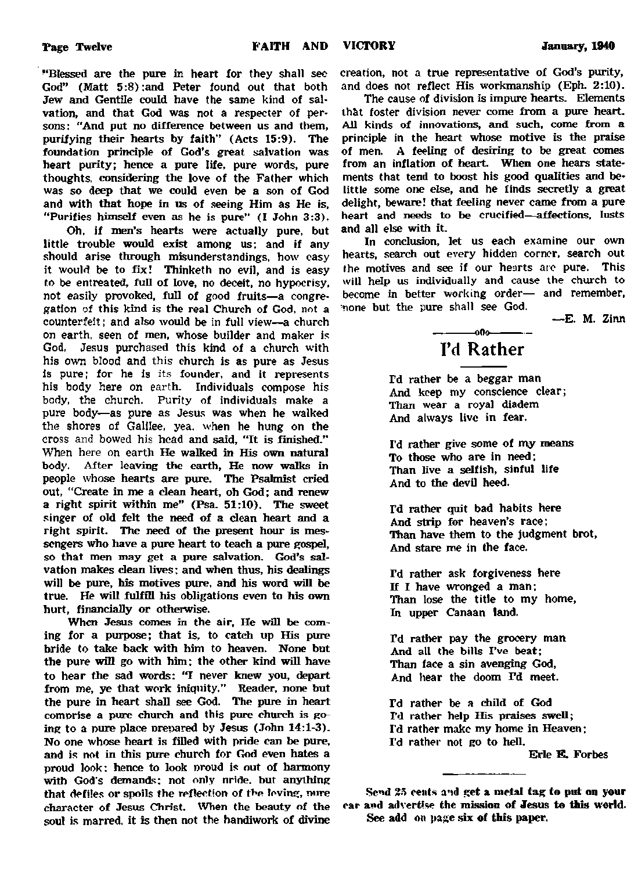**"Blessed are the pure in heart for they shall see God" (Matt 5:8):and Peter found out that both Jew and Gentile could have the same kind of sal\* vation, and that God was not a respecter of persons: "And put no difference between us and them, purifying their hearts by faith" (Acts 15:9). The foundation principle of God's great salvation was heart purity; hence a pure life, pure words, pure thoughts, considering the love of the Father which was so deep that we could even be a son of God and with that hope in us of seeing Him as He is. "Purifies himself even as he is pure" (I John 3:3).**

**Oh. if men's hearts were actually pure, but little trouble would exist among us; and if any should arise through misunderstandings, how easy it would be to fix! Thinketh no evil, and is easy to be entreated, full of love, no deceit, no hypocrisy, not easily provoked, full of good fruits—a congregation of this kind is the real Church of God, not a counterfeit; and also would be in full view—a church on earth, seen of men, whose builder and maker is God, Jesus purchased this kind of a church with his own blood and this church is as pure as Jesus Is pure; for he is its founder, and it represents his body here on earth. Individuals compose his body, the church. Purity of individuals make a pure body—as pure as Jesus was when he walked the shores of Galilee, yea. when he hung on the cross and bowed his head and said, "It is finished." When here on earth He walked in His own natural body. After leaving the earth, He now walks in people whose hearts are pure. The Psalmist cried out, "Create in me a clean heart, oh God; and renew a right spirit within me" (Psa. 51:10). The sweet singer of old felt the need of a dean heart and a right spirit. The need of the present hour is messengers who have a pure heart to teach a pure gospel, so that men may get a pure salvation. God's salvation makes dean lives; and when thus, his dealings will be pure, his motives pure, and his word will be true. He will fulfill his obligations even to his own hurt, financially or otherwise.**

**When Jesus comes in the air. He will be coming for a purpose; that is, to catch up His pure bride to take back with him to heaven. None but the pure will go with him; the other kind will have to hear the sad words: 'T never knew you, depart from me, ye that work iniquity." Reader, none but the pure in heart shall see God. The pure in heart comprise a pure church and this pure church is going to a pure place prepared by Jesus (John 14:1-3). No one whose heart is filled with pride can be pure, and is not in this pure church for God even hates a proud look: hence to look proud is out of harmony with God's demands; not only nride. but anything that defiles or spoils the reflection of the loving, wire character of Jesus Christ. When the beauty of the soul is marred, it is then not the handiwork of divine**

**creation, not a true representative of God's purity, and does not reflect His workmanship (Eph. 2:10).**

**The cause of division is impure hearts. Elements ih&t foster division never come from a pure heart. All kinds of innovations, and such, come from a principle in the heart whose motive is the praise of men. A feeling of desiring to be great comes from an inflation of heart. When one hears statements that tend to boost his good qualities and belittle some one else, and he finds secretly a great delight, beware! that feeling never came from a pure heart and needs to be crucified—affections, lusts and all else with it.**

**In conclusion, let us each examine our own hearts, search out every hidden corner, search out the motives and see if our hearts arc pure. This will help us individually and cause the church to become in better working order— and remember, none but the pure shall see God.**

**—E. M. Zinn**

## **---------- olio — I'd Rather**

**I'd rather be a beggar man And keep my conscience clear; Than wear a royal diadem And always live in fear.**

**I'd rather give some of my means To those who are in need; Than live a selfish, sinful life And to the devil heed.**

**I'd rather quit bad habits here And strip for heaven's race: Than have them to the Judgment brot, And stare me in the face.**

**Td rather ask forgiveness here If I have wronged a man; Than lose the title to my home, In upper Canaan land.**

**Td rather pay the grocery man And all the bills I've beat; Than face a sin avenging God, A.nd hear the doom Td meet.**

**Td rather be a child of God I'd rather help His praises swell; I'd rather make my home in Heaven; I'd rather not go to hell.**

**Erie E. Forbes**

**Send 25 cents a'id get a metal tag to put on your** car and advertise the mission of **Jesus to this world. See add on page six of this paper.**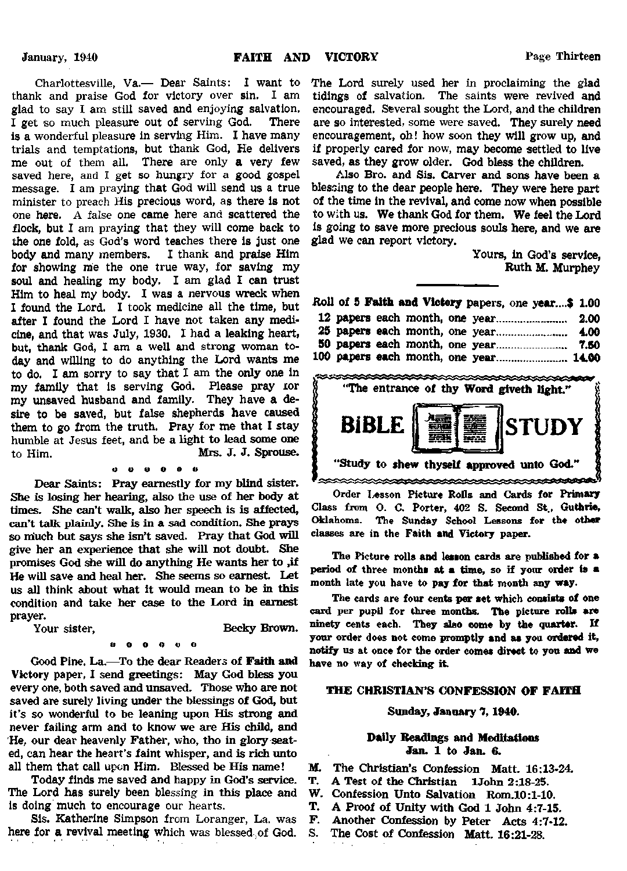**Charlottesville, Va.— Dear Saints: I want to thank and praise God for victory over sin. I am glad to say I am still saved and enjoying salvation. I get so much pleasure out of serving God. There** is a wonderful pleasure in serving Him. I have many **trials and temptations, but thank God, He delivers me out of them all. There are only a very few saved here, and I get so hungry for a good gospel message. I am praying that God will send us a true minister to preach His precious word, as there is not one here.** A **false one came here and scattered the flock, but I am praying that they will come back to the one fold, as God's word teaches there is just one body and many members. I thank and praise Him for showing me the one true way, for saving my soul and healing my body. I am glad I can trust Him to heal my body. I was a nervous wreck when I found the Lord. I took medicine all the time, but after I found the Lord I have not taken any medicine, and that was July, 1930. 1 had a leaking heart, but, thank God, I am a well and strong woman today and willing to do anything the Lord wants me to do. I am sorry to say that I am the only one in my family that Is serving God. Please pray xor my unsaved husband and family. They have a desire to be saved, but false shepherds have caused them to go from the truth. Pray for me that I stay humble at Jesus feet, and be a light to lead some one to Him. Mrs. J. J. Sprouse.**

#### $\mathbf{0}$   $\mathbf{0}$

**Dear Saints: Pray earnestly for my blind sister. She is losing her hearing, also the use of her body at times. She can't walk, also her speech is is affected, can't talk plainly. She is in a sad condition. She prays** so much but says she isn't saved. Pray that God will **give her an experience that she will not doubt. She promises God she will do anything He wants her to ,if He will save and heal her. She seems so earnest. Let us all think about what it would mean to be in this condition and take her case to the Lord in earnest prayer.**

Your sister, Becky Brown.

#### **o o o o u o**

**Good Pine. La.—To the dear Readers of Faith and Victory paper, I send greetings: May God bless you every one, both saved and unsaved. Those who are not saved are surely living under the blessings of God, but it's so wonderful to be leaning upon His strong and never failing arm and to know we are His child, and He, our dear heavenly Father, who, tho in glory seated, can hear the heart's faint whisper, and is rich unto all them that call upon Him. Blessed be His name!**

**Today finds me saved and happy in God's service. The Lord has surely been blessing in this place and Is doing much to encourage our hearts.**

**Sis. Katherine Simpson from Loranger, La. was here for a revival meeting which was blessed of God.** **The Lord surely used her in proclaiming the glad tidings of salvation. The saints were revived and encouraged. Several sought the Lord, and the children are so interested, some were saved. They surely need encouragement, oh! how soon they will grow up, and if properly cared for now, may become settled to live saved, as they grow older. God bless the children.**

**Also Bro. and Sis. Carver and sons have been a blessing to the dear people here. They were here part of the time in the revival, and come now when possible to with us. We thank God for them. We feel the Lord is going to save more precious souls here, and we are glad we can report victory.**

> **Yours, In God's service, Ruth M. Murphey**

|  |  | Roll of 5 Faith and Victory papers, one year\$ 1.00 |  |
|--|--|-----------------------------------------------------|--|
|  |  |                                                     |  |
|  |  |                                                     |  |
|  |  |                                                     |  |
|  |  | 100 papers each month, one year 14.00               |  |



**Order lesson Picture Rolls and Cards for Primary Class from O. C. Porter, 402 S. Second St., Guthrie, Oklahoma. The Sunday School Lessons for the other classes are in the Faith and Victory paper.**

**The Picture rolls and lesson cards are published for a period of three months at a time, so if your order is a month late you have to pay for that month any way.**

**The cards are four cents per set which consists of one card per pupil for three months. The picture rolls are ninety cents each. They also come by the quarter. If your order does not come promptly end as you ordered it, notify us at once for the order comes direct to you and we have no way of checking it.**

### **THE CHRISTIAN'S CONFESSION OF FAITH**

#### **Sunday, January 7,1940.**

#### **Dally Readings and Meditations Jan. 1 to Jan. &**

- **M. The Christian's Confession Matt. 16:13-24.**
	- **T. A Test of the Christian lJohn 2:18-25.**
- **W. Confession Unto Salvation Rom.l0:l-10.**
- **T. A Proof of Unity with God 1 John 4:7-15.**
- **F.** Another Confession by Peter Acts 4:7-12.<br>S. The Cost of Confession Matt 16:21-28
	- **S. The Cost of Confession Matt. 16:21-28.**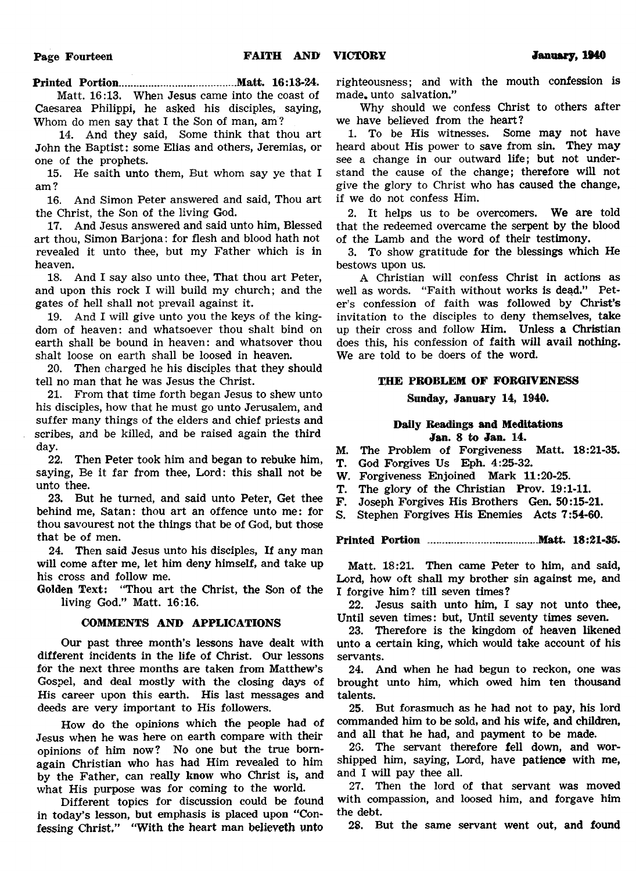**Printed Portion.......................................Matt. 16:13-24.**

**Matt. 16:13. When Jesus came into the coast of Caesarea Philippi, he asked his disciples, saying, Whom do men say that I the Son of man, am?**

**14. And they said, Some think that thou art John the Baptist: some Elias and others, Jeremias, or one of the prophets.**

**15. He saith unto them, But whom say ye that I am?**

**16. And Simon Peter answered and said, Thou art the Christ, the Son of the living God.**

**17. And Jesus answered and said unto him, Blessed art thou, Simon Barjona: for flesh and blood hath not revealed it unto thee, but my Father which is in heaven.**

**18. And I say also unto thee, That thou art Peter, and upon this rock I will build my church; and the gates of hell shall not prevail against it.**

**19. And I will give unto you the keys of the kingdom of heaven: and whatsoever thou shalt bind on earth shall be bound in heaven: and whatsover thou shalt loose on earth shall be loosed in heaven.**

**20. Then charged he his disciples that they should tell no man that he was Jesus the Christ.**

**21. From that time forth began Jesus to shew unto his disciples, how that he must go unto Jerusalem, and suffer many things of the elders and chief priests and scribes, and be killed, and be raised again the third day.**

**22. Then Peter took him and began to rebuke him, saying, Be it far from thee, Lord: this shall not be unto thee.**

**23. But he turned, and said unto Peter, Get thee behind me, Satan: thou art an offence unto me: for thou savourest not the things that be of God, but those that be of men.**

**24. Then said Jesus unto his disciples, If any man will come after me, let him deny himself, and take up his cross and follow me.**

**Golden Text: "Thou art the Christ, the Son of the living God." Matt. 16:16.**

#### **COMMENTS AND APPLICATIONS**

**Our past three month's lessons have dealt with different incidents in the life of Christ. Our lessons for the next three months are taken from Matthew's Gospel, and deal mostly with the closing days of His career upon this earth. His last messages and deeds are very important to His followers.**

**How do the opinions which the people had of Jesus when he was here on earth compare with their opinions of him now? No one but the true bornagain Christian who has had Him revealed to him by the Father, can really know who Christ is, and what His purpose was for coming to the world.**

**Different topics for discussion could be found in today's lesson, but emphasis is placed upon "Confessing Christ." "With the heart man believeth unto**

**righteousness; and with the mouth confession is made, unto salvation."**

**Why should we confess Christ to others after we have believed from the heart?**

**1. To be His witnesses. Some may not have heard about His power to save from sin. They may see a change in our outward life; but not understand the cause of the change; therefore will not give the glory to Christ who has caused the change, if we do not confess Him.**

**2. It helps us to be overcomers. We are told that the redeemed overcame the serpent by the blood of the Lamb and the word of their testimony.**

**3. To show gratitude for the blessings which He bestows upon us.**

**A Christian will confess Christ in actions as well as words. "Faith without works is dead." Peter's confession of faith was followed by Christ's invitation to the disciples to deny themselves, take up their cross and follow Him. Unless a Christian does this, his confession of faith will avail nothing. We are told to be doers of the word.**

#### **THE PROBLEM OF FORGIVENESS**

#### **Sunday, January 14, 1940.**

#### **Daily Readings and Meditations Jan. 8 to Jan. 14.**

**M. The Problem of Forgiveness Matt. 18:21-35.**

**T. God Forgives Us Eph. 4:25-32.**

**W. Forgiveness Enjoined Mark 11:20-25.**

**T. The glory of the Christian Prov. 19:1-11.**

**F. Joseph Forgives His Brothers Gen. 50:15-21.**

**S. Stephen Forgives His Enemies Acts 7:54-60.**

#### **Printed Portion .....................................Matt. 18:21-35.**

**Matt. 18:21. Then came Peter to him, and said, Lord, how oft shall my brother sin against me, and I forgive him? till seven times?**

**22. Jesus saith unto him, I say not unto thee, Until seven times: but, Until seventy times seven.**

**23. Therefore is the kingdom of heaven likened unto a certain king, which would take account of his servants.**

**24. And when he had begun to reckon, one was brought unto him, which owed him ten thousand talents.**

**25. But forasmuch as he had not to pay, his lord commanded him to be sold, and his wife, and children, and all that he had, and payment to be made.**

**26. The servant therefore fell down, and worshipped him, saying, Lord, have patience with me, and I will pay thee all.**

**27. Then the lord of that servant was moved with compassion, and loosed him, and forgave him the debt.**

**28. But the same servant went out, and found**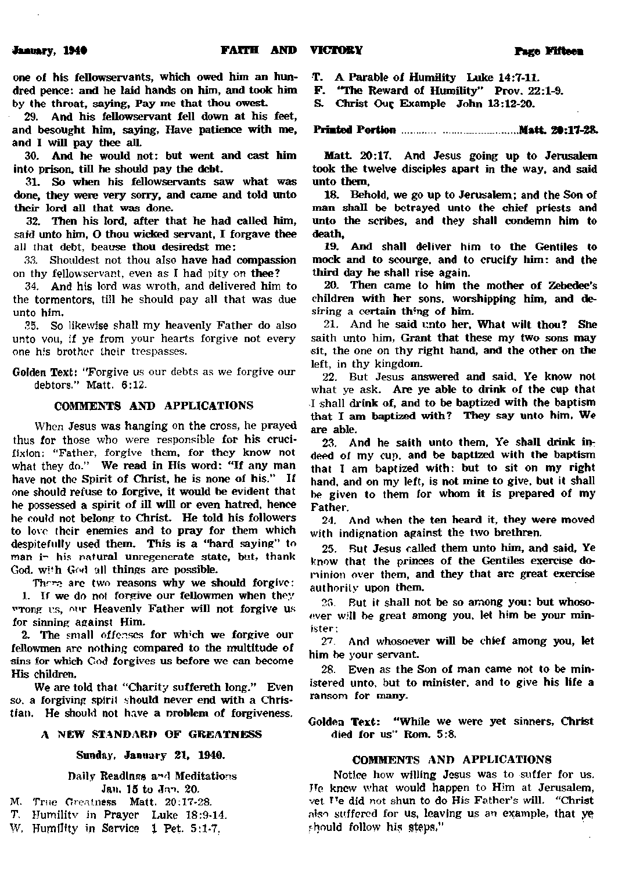**one of his fellowservants, which owed him an hundred pence: and he laid hands on him, and took him by the throat, saying. Pay me that thou owesL**

**29. And his fellowservant fell down at his feet, and besought him, saying. Have patience with me, and I will pay thee all.**

**30. And he would not: but went and cast him into prison, till he should pay the debt.**

**31. So when his fellowservants saw what was done, they were very sorry, and came and told unto their lord all that was done.**

**32. Then his lord, after that he had called him, said unto him, O thou wicked servant, I forgave thee all that debt, beause thou desiredst me:**

**33. Shouldest not thou also have had compassion on thy fellowservant, even as I had pity on thee?**

**34. And his lord was wroth, and delivered him to the tormentors, till he should pay all that was due unto him.**

**35. So likewise shall my heavenly Father do also unto von, if ye from your hearts forgive not every one his brother their trespasses.**

**Golden Text: ''Forgive us our debts as we forgive our debtors." Matt. 6:12.**

#### **COMMENTS AND APPLICATIONS**

**When Jesus was hanging on the cross, he prayed thus for those who were responsible for his crucifixion: ''Father, forgive them, for they know not what they do." We read in His word: "If any man have not the Spirit of Christ, he is none of his." If one should refuse to forgive, it would be evident that he possessed a spirit of ill will or even hatred, hence he could not belong to Christ. He told his followers to love (heir enemies and to pray for them which despitefully used them. This is a "hard saying" to man i" his natural unregenerate state, but, thank God. wi!h God 'all things arc possible.**

**Thr^ arc two reasons why we should forgive: 1. If we do not forgive our fellowmen when they wrong rs, our Heavenly Father will not forgive us for sinning against Him.**

**2. The small offenses for wh'ch we forgive our fellowmen arc nothing compared to the multitude of sins for which God forgives us before we can become His children.**

**We are told that "Charity suffereth long." Even so. a forgiving spiril should never end with a Christian. He should not have a nroblcm of forgiveness.**

#### **A NEW STANDARD OF GREATNESS**

#### **Sunday. January 21, 1940.**

**Daily Readings a\*\*d Meditations** Jan. 15 to Jan. 20.

- **M. True Greatness Matt. 20:17-28.**
- **T. Humilitv in Prayer Luke 18:9-14.**
- W. Humility in Service 1 Pet. 5:1-7.

**T. A Parable of Humility Luke 14:7-11.**

**F. "The Reward of Humility'' Prov. 22:1-9.**

S. Christ Our Example John 13:12-20.

#### **Printed Portion.....................................Matt 2\*:17-28.**

**Matt. 20:17. And Jesus going up to Jerusalem took the twelve disciples apart in the way, and said unto them.**

**18. Behold, we go up to Jerusalem: and the Son of man shall be betrayed unto the chief priests and unto the scribes, and they shall condemn him to death,**

**19. And shall deliver him to the Gentiles to mock and to scourge, and to crucify him: and the third day he shall rise again.**

**20. Then came to him the mother of Zebedee's children with her sons, worshipping him, and desiring a certain thing of him.**

**21. And he said unto her. What wilt thou? She saith unto him, Grant that these my two sons may sit, the one on thy right hand, and the other on the left, in thy kingdom.**

**22. But Jesus answered and said. Ye know not what ye ask. Are ye able to drink of the cup that I shall drink of, and to be baptized with the baptism that I am baptized with? They say unto him, We are able.**

**23. And he saith unto them. Ye shall drink indeed of my cup. and be baptized with the baptism thai I am baptized with: but to sit on my right hand, and on my left, is not mine to give, but it shall be given to them for whom it is prepared of my Father.**

**24. And when the ten heard it, they were moved with indignation against the two brethren.**

**25. But Jesus called them unto him, and said. Ye know that the princes of the Gentiles exercise dominion over them, and they that arc great exercise authority upon them.**

**25 But it shall not be so among you: but whosoever will be great among you. let him be your minister;**

*77.* **And whosoever will be chief among you, let him be your servant.**

**28. Even as the Son of man came not to be ministered unto, but to minister, and to give his life a ransom for many.**

**Golden Text: "While we were yet sinners, Christ died for us" Rom. 5:8.**

#### **COMMENTS AND APPLICATIONS**

**Notice how willing Jesus was to suffer for us. Tip knew what would happen to Him at Jerusalem,** vet <sup>T</sup>e did not shun to do His Father's will. "Christ **also suffered for us, leaving us an example, that ye rhnuld follow his steps,'1**